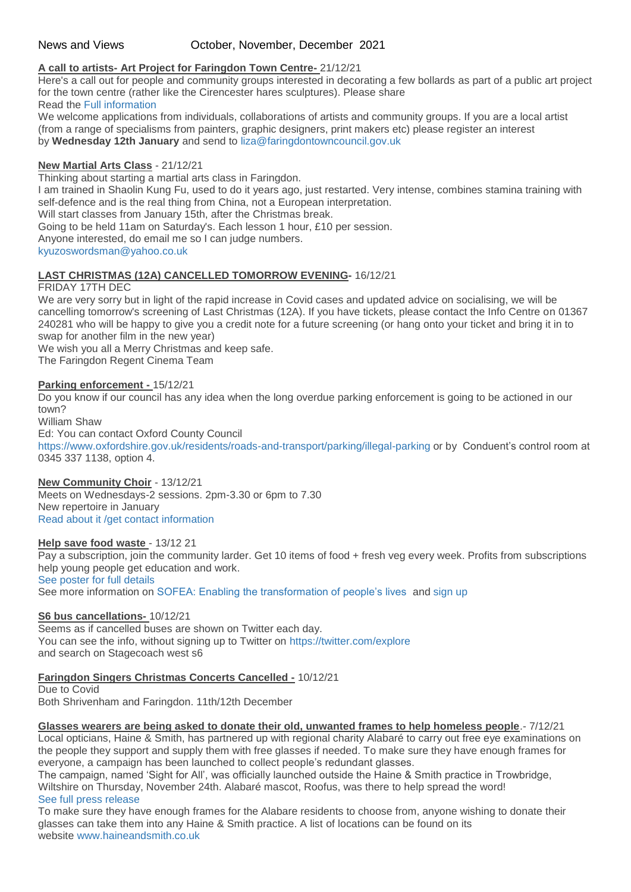# News and Views October, November, December 2021

# **A call to artists- Art Project for Faringdon Town Centre-** 21/12/21

Here's a call out for people and community groups interested in decorating a few bollards as part of a public art project for the town centre (rather like the Cirencester hares sculptures). Please share Read the [Full information](http://weebly-file/1/4/7/6/14765418/faringdon_area_artists.pdf)

We welcome applications from individuals, collaborations of artists and community groups. If you are a local artist (from a range of specialisms from painters, graphic designers, print makers etc) please register an interest by **Wednesday 12th January** and send to [liza@faringdontowncouncil.gov.uk](../../FO%20Home%20tell%20us%20about/liza@faingdontowncouncil.gov.uk)

# **New Martial Arts Class** - 21/12/21

Thinking about starting a martial arts class in Faringdon. I am trained in Shaolin Kung Fu, used to do it years ago, just restarted. Very intense, combines stamina training with self-defence and is the real thing from China, not a European interpretation. Will start classes from January 15th, after the Christmas break. Going to be held 11am on Saturday's. Each lesson 1 hour, £10 per session. Anyone interested, do email me so I can judge numbers. [kyuzoswordsman@yahoo.co.uk](mailto:kyuzoswordsman@yahoo.co.uk)

# **LAST CHRISTMAS (12A) CANCELLED TOMORROW EVENING-** 16/12/21

### FRIDAY 17TH DEC

We are very sorry but in light of the rapid increase in Covid cases and updated advice on socialising, we will be cancelling tomorrow's screening of Last Christmas (12A). If you have tickets, please contact the Info Centre on 01367 240281 who will be happy to give you a credit note for a future screening (or hang onto your ticket and bring it in to swap for another film in the new year)

We wish you all a Merry Christmas and keep safe.

The Faringdon Regent Cinema Team

### **Parking enforcement -** 15/12/21

Do you know if our council has any idea when the long overdue parking enforcement is going to be actioned in our town? William Shaw

Ed: You can contact Oxford County Council

<https://www.oxfordshire.gov.uk/residents/roads-and-transport/parking/illegal-parking> or by Conduent's control room at 0345 337 1138, option 4.

# **New Community Choir** - 13/12/21

Meets on Wednesdays-2 sessions. 2pm-3.30 or 6pm to 7.30 New repertoire in January [Read about it /get contact information](http://weebly-file/1/4/7/6/14765418/faringdon_community_choir_information.pdf)

### **Help save food waste** - 13/12 21

Pay a subscription, join the community larder. Get 10 items of food + fresh veg every week. Profits from subscriptions help young people get education and work.

[See poster for full details](http://weebly-file/1/4/7/6/14765418/larder_details.png)

See more information on [SOFEA: Enabling the transformation of people's lives](https://www.sofea.uk.com/) and [sign up](https://www.sofea.uk.com/purpose-projects/community-larder/)

# **S6 bus cancellations-** 10/12/21

Seems as if cancelled buses are shown on Twitter each day. You can see the info, without signing up to Twitter on <https://twitter.com/explore> and search on Stagecoach west s6

# **Faringdon Singers Christmas Concerts Cancelled -** 10/12/21

Due to Covid Both Shrivenham and Faringdon. 11th/12th December

**Glasses wearers are being asked to donate their old, unwanted frames to help homeless people**.- 7/12/21

Local opticians, Haine & Smith, has partnered up with regional charity Alabaré to carry out free eye examinations on the people they support and supply them with free glasses if needed. To make sure they have enough frames for everyone, a campaign has been launched to collect people's redundant glasses.

The campaign, named 'Sight for All', was officially launched outside the Haine & Smith practice in Trowbridge, Wiltshire on Thursday, November 24th. Alabaré mascot, Roofus, was there to help spread the word! [See full press release](http://weebly-file/1/4/7/6/14765418/glasses_wearers_.pdf)

To make sure they have enough frames for the Alabare residents to choose from, anyone wishing to donate their glasses can take them into any Haine & Smith practice. A list of locations can be found on its website [www.haineandsmith.co.uk](http://www.haineandsmith.co.uk/)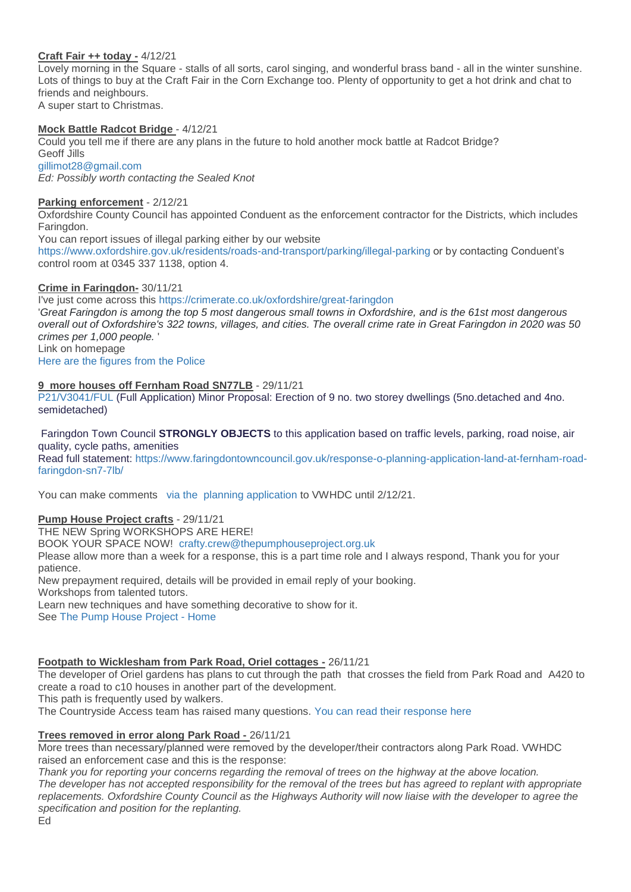# **Craft Fair ++ today -** 4/12/21

Lovely morning in the Square - stalls of all sorts, carol singing, and wonderful brass band - all in the winter sunshine. Lots of things to buy at the Craft Fair in the Corn Exchange too. Plenty of opportunity to get a hot drink and chat to friends and neighbours. A super start to Christmas.

# **Mock Battle Radcot Bridge** - 4/12/21

Could you tell me if there are any plans in the future to hold another mock battle at Radcot Bridge? Geoff Jills

[gillimot28@gmail.com](mailto:gillimot28@gmail.com) *Ed: Possibly worth contacting the Sealed Knot*

# **Parking enforcement** - 2/12/21

Oxfordshire County Council has appointed Conduent as the enforcement contractor for the Districts, which includes Faringdon.

You can report issues of illegal parking either by our website

<https://www.oxfordshire.gov.uk/residents/roads-and-transport/parking/illegal-parking> or by contacting Conduent's control room at 0345 337 1138, option 4.

# **Crime in Faringdon-** 30/11/21

I've just come across thi[s](https://crimerate.co.uk/oxfordshire/great-faringdon#:~:text=Summary%20of%20Crimes%20in%20Great%20Faringdon%20This%20Year,%20%203.16%20%2010%20more%20rows%20) [https://crimerate.co.uk/oxfordshire/great-faringdon](https://crimerate.co.uk/oxfordshire/great-faringdon#:~:text=Summary%20of%20Crimes%20in%20Great%20Faringdon%20This%20Year,%20%203.16%20%2010%20more%20rows%20)

'*Great Faringdon is among the top 5 most dangerous small towns in Oxfordshire, and is the 61st most dangerous overall out of Oxfordshire's 322 towns, villages, and cities. The overall crime rate in Great Faringdon in 2020 was 50 crimes per 1,000 people.* ' Link on homepage

[Here are the figures from the Police](https://www.police.uk/pu/your-area/thames-valley-police/faringdon/)

# **9 more houses off Fernham Road SN77LB** - 29/11/21

[P21/V3041/FUL](https://data.whitehorsedc.gov.uk/java/support/Main.jsp?MODULE=ApplicationDetails&REF=P21/V3041/FUL) (Full Application) Minor Proposal: Erection of 9 no. two storey dwellings (5no.detached and 4no. semidetached)

Faringdon Town Council **STRONGLY OBJECTS** to this application based on traffic levels, parking, road noise, air quality, cycle paths, amenities

Read full statement: [https://www.faringdontowncouncil.gov.uk/response-o-planning-application-land-at-fernham-road](https://www.faringdontowncouncil.gov.uk/response-o-planning-application-land-at-fernham-road-faringdon-sn7-7lb/)[faringdon-sn7-7lb/](https://www.faringdontowncouncil.gov.uk/response-o-planning-application-land-at-fernham-road-faringdon-sn7-7lb/)

You can make comments via the [planning application](https://data.whitehorsedc.gov.uk/java/support/Main.jsp?MODULE=ApplicationDetails&REF=P21/V3041/FUL) to VWHDC until 2/12/21.

# **Pump House Project crafts** - 29/11/21

THE NEW Spring WORKSHOPS ARE HERE! BOOK YOUR SPACE NOW! [crafty.crew@thepumphouseproject.org.uk](mailto:crafty.crew@thepumphouseproject.org.uk) Please allow more than a week for a response, this is a part time role and I always respond, Thank you for your patience. New prepayment required, details will be provided in email reply of your booking. Workshops from talented tutors. Learn new techniques and have something decorative to show for it. See [The Pump House Project -](https://www.thepumphouseproject.org.uk/) Home

# **Footpath to Wicklesham from Park Road, Oriel cottages -** 26/11/21

The developer of Oriel gardens has plans to cut through the path that crosses the field from Park Road and A420 to create a road to c10 houses in another part of the development.

This path is frequently used by walkers.

The Countryside Access team has raised many questions. [You can read their response here](http://weebly-file/1/4/7/6/14765418/path_to_wicklesham_2021-11-10_response.pdf)

# **Trees removed in error along Park Road -** 26/11/21

More trees than necessary/planned were removed by the developer/their contractors along Park Road. VWHDC raised an enforcement case and this is the response:

*Thank you for reporting your concerns regarding the removal of trees on the highway at the above location. The developer has not accepted responsibility for the removal of the trees but has agreed to replant with appropriate replacements. Oxfordshire County Council as the Highways Authority will now liaise with the developer to agree the specification and position for the replanting.* Ed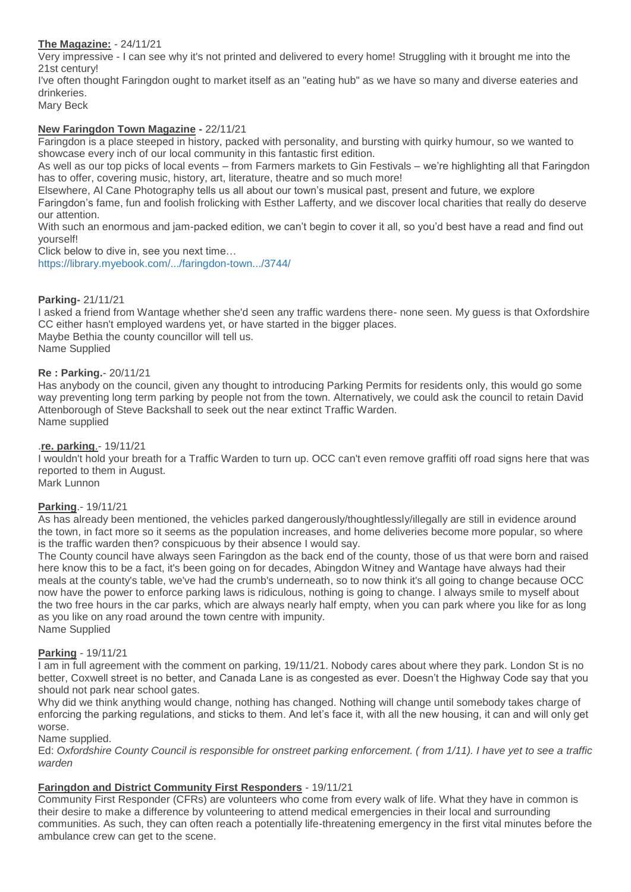# **The Magazine:** - 24/11/21

Very impressive - I can see why it's not printed and delivered to every home! Struggling with it brought me into the 21st century!

I've often thought Faringdon ought to market itself as an "eating hub" as we have so many and diverse eateries and drinkeries.

Mary Beck

### **New Faringdon Town Magazine -** 22/11/21

Faringdon is a place steeped in history, packed with personality, and bursting with quirky humour, so we wanted to showcase every inch of our local community in this fantastic first edition.

As well as our top picks of local events – from Farmers markets to Gin Festivals – we're highlighting all that Faringdon has to offer, covering music, history, art, literature, theatre and so much more!

Elsewhere, Al Cane Photography tells us all about our town's musical past, present and future, we explore

Faringdon's fame, fun and foolish frolicking with Esther Lafferty, and we discover local charities that really do deserve our attention.

With such an enormous and jam-packed edition, we can't begin to cover it all, so you'd best have a read and find out yourself!

Click below to dive in, see you next time…

[https://library.myebook.com/.../faringdon-town.../3744/](https://library.myebook.com/FYNE/faringdon-town-edition-one/3744/?fbclid=IwAR0CWrXEzjMda0NQHZ9uiWTgf-I9jpLIFQjmSn6vjMSqyYfINE1gcD6Xrb8)

### **Parking-** 21/11/21

I asked a friend from Wantage whether she'd seen any traffic wardens there- none seen. My guess is that Oxfordshire CC either hasn't employed wardens yet, or have started in the bigger places.

Maybe Bethia the county councillor will tell us. Name Supplied

### **Re : Parking.**- 20/11/21

Has anybody on the council, given any thought to introducing Parking Permits for residents only, this would go some way preventing long term parking by people not from the town. Alternatively, we could ask the council to retain David Attenborough of Steve Backshall to seek out the near extinct Traffic Warden. Name supplied

### .**re. parking**.- 19/11/21

I wouldn't hold your breath for a Traffic Warden to turn up. OCC can't even remove graffiti off road signs here that was reported to them in August. Mark Lunnon

### **Parking**.- 19/11/21

As has already been mentioned, the vehicles parked dangerously/thoughtlessly/illegally are still in evidence around the town, in fact more so it seems as the population increases, and home deliveries become more popular, so where is the traffic warden then? conspicuous by their absence I would say.

The County council have always seen Faringdon as the back end of the county, those of us that were born and raised here know this to be a fact, it's been going on for decades, Abingdon Witney and Wantage have always had their meals at the county's table, we've had the crumb's underneath, so to now think it's all going to change because OCC now have the power to enforce parking laws is ridiculous, nothing is going to change. I always smile to myself about the two free hours in the car parks, which are always nearly half empty, when you can park where you like for as long as you like on any road around the town centre with impunity. Name Supplied

### **Parking** - 19/11/21

I am in full agreement with the comment on parking, 19/11/21. Nobody cares about where they park. London St is no better, Coxwell street is no better, and Canada Lane is as congested as ever. Doesn't the Highway Code say that you should not park near school gates.

Why did we think anything would change, nothing has changed. Nothing will change until somebody takes charge of enforcing the parking regulations, and sticks to them. And let's face it, with all the new housing, it can and will only get worse.

### Name supplied.

Ed: *Oxfordshire County Council is responsible for onstreet parking enforcement. ( from 1/11). I have yet to see a traffic warden*

# **Faringdon and District Community First Responders** - 19/11/21

Community First Responder (CFRs) are volunteers who come from every walk of life. What they have in common is their desire to make a difference by volunteering to attend medical emergencies in their local and surrounding communities. As such, they can often reach a potentially life-threatening emergency in the first vital minutes before the ambulance crew can get to the scene.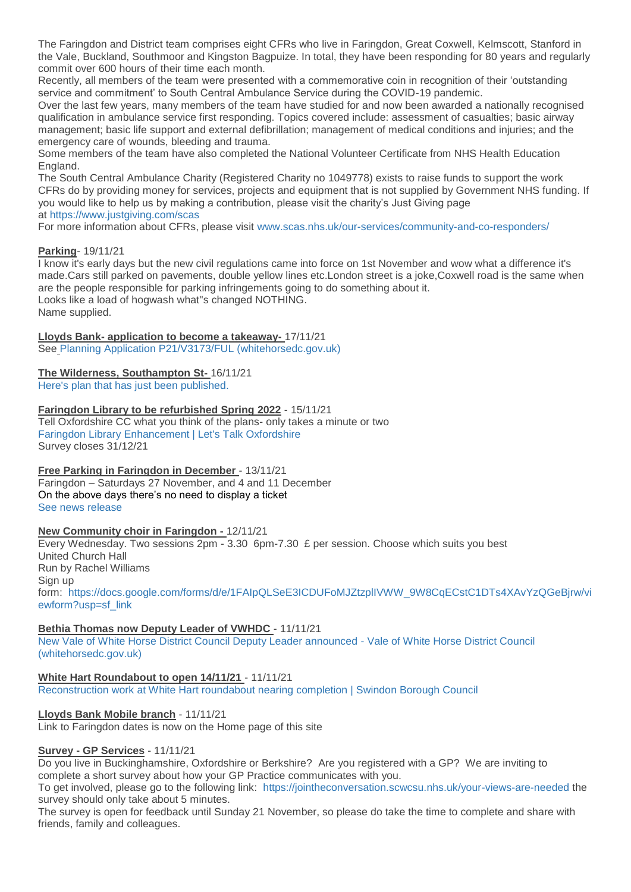The Faringdon and District team comprises eight CFRs who live in Faringdon, Great Coxwell, Kelmscott, Stanford in the Vale, Buckland, Southmoor and Kingston Bagpuize. In total, they have been responding for 80 years and regularly commit over 600 hours of their time each month.

Recently, all members of the team were presented with a commemorative coin in recognition of their 'outstanding service and commitment' to South Central Ambulance Service during the COVID-19 pandemic.

Over the last few years, many members of the team have studied for and now been awarded a nationally recognised qualification in ambulance service first responding. Topics covered include: assessment of casualties; basic airway management; basic life support and external defibrillation; management of medical conditions and injuries; and the emergency care of wounds, bleeding and trauma.

Some members of the team have also completed the National Volunteer Certificate from NHS Health Education England.

The South Central Ambulance Charity (Registered Charity no 1049778) exists to raise funds to support the work CFRs do by providing money for services, projects and equipment that is not supplied by Government NHS funding. If you would like to help us by making a contribution, please visit the charity's Just Giving page at <https://www.justgiving.com/scas>

For more information about CFRs, please visit [www.scas.nhs.uk/our-services/community-and-co-responders/](http://www.scas.nhs.uk/our-services/community-and-co-responders/)

# **Parking**- 19/11/21

I know it's early days but the new civil regulations came into force on 1st November and wow what a difference it's made.Cars still parked on pavements, double yellow lines etc.London street is a joke,Coxwell road is the same when are the people responsible for parking infringements going to do something about it. Looks like a load of hogwash what''s changed NOTHING. Name supplied.

# **Lloyds Bank- application to become a takeaway-** 17/11/21

See [Planning Application P21/V3173/FUL \(whitehorsedc.gov.uk\)](https://data.whitehorsedc.gov.uk/java/support/Main.jsp?MODULE=ApplicationDetails&REF=P21/V3173/FUL#exactline)

# **The Wilderness, Southampton St-** 16/11/21

[Here's plan that has just been published.](http://weebly-file/1/4/7/6/14765418/wilderness.jpg)

### **Faringdon Library to be refurbished Spring 2022** - 15/11/21

Tell Oxfordshire CC what you think of the plans- only takes a minute or two [Faringdon Library Enhancement | Let's Talk Oxfordshire](https://letstalk.oxfordshire.gov.uk/faringdon-library-enhancement-2022?fbclid=IwAR2NDctilbeL7DYpx0lWCK7AVjRL1gm54vSAC1-Ty2tOrjpXskJ2P-5S1So) Survey closes 31/12/21

**Free Parking in Faringdon in December** - 13/11/21 Faringdon – Saturdays 27 November, and 4 and 11 December On the above days there's no need to display a ticket [See news release](https://www.whitehorsedc.gov.uk/parking/call-for-people-to-buy-local-as-free-parking-days-returns-in-the-run-up-to-christmas/)

# **New Community choir in Faringdon -** 12/11/21

Every Wednesday. Two sessions 2pm - 3.30 6pm-7.30 £ per session. Choose which suits you best United Church Hall Run by Rachel Williams Sign up form: [https://docs.google.com/forms/d/e/1FAIpQLSeE3ICDUFoMJZtzplIVWW\\_9W8CqECstC1DTs4XAvYzQGeBjrw/vi](https://docs.google.com/forms/d/e/1FAIpQLSeE3ICDUFoMJZtzplIVWW_9W8CqECstC1DTs4XAvYzQGeBjrw/viewform?usp=sf_link) [ewform?usp=sf\\_link](https://docs.google.com/forms/d/e/1FAIpQLSeE3ICDUFoMJZtzplIVWW_9W8CqECstC1DTs4XAvYzQGeBjrw/viewform?usp=sf_link)

# **Bethia Thomas now Deputy Leader of VWHDC** - 11/11/21

[New Vale of White Horse District Council Deputy Leader announced -](https://www.whitehorsedc.gov.uk/vale-of-white-horse-district-council/new-vale-of-white-horse-district-council-deputy-leader-announced/) Vale of White Horse District Council [\(whitehorsedc.gov.uk\)](https://www.whitehorsedc.gov.uk/vale-of-white-horse-district-council/new-vale-of-white-horse-district-council-deputy-leader-announced/)

# **White Hart Roundabout to open 14/11/21** - 11/11/21

[Reconstruction work at White Hart roundabout nearing completion | Swindon Borough Council](https://www.swindon.gov.uk/news/article/704/reconstruction_work_at_white_hart_roundabout_nearing_completion)

# **Lloyds Bank Mobile branch** - 11/11/21

Link to Faringdon dates is now on the Home page of this site

# **Survey - GP Services** - 11/11/21

Do you live in Buckinghamshire, Oxfordshire or Berkshire? Are you registered with a GP? We are inviting to complete a short survey about how your GP Practice communicates with you.

To get involved, please go to the following link: <https://jointheconversation.scwcsu.nhs.uk/your-views-are-needed> the survey should only take about 5 minutes.

The survey is open for feedback until Sunday 21 November, so please do take the time to complete and share with friends, family and colleagues.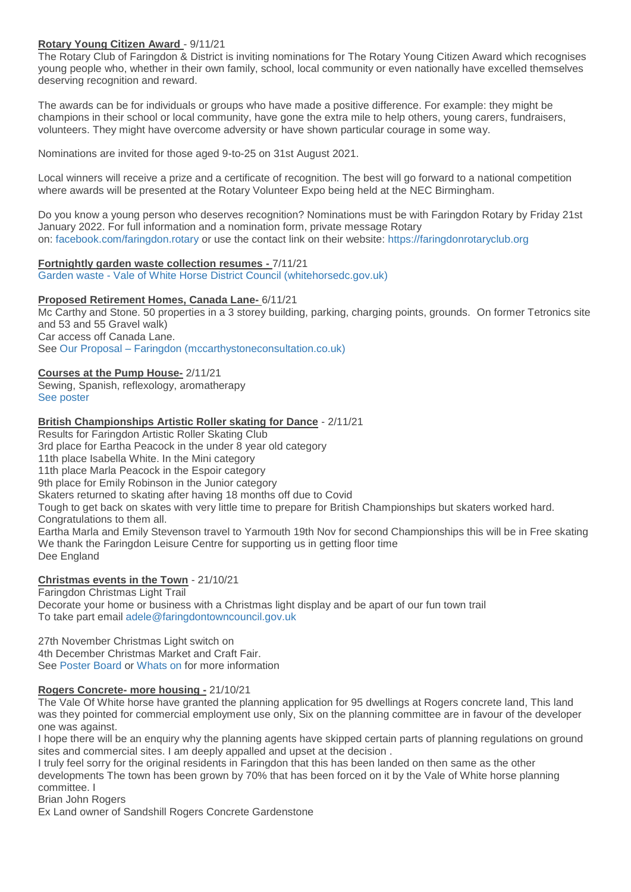# **Rotary Young Citizen Award** - 9/11/21

The Rotary Club of Faringdon & District is inviting nominations for The Rotary Young Citizen Award which recognises young people who, whether in their own family, school, local community or even nationally have excelled themselves deserving recognition and reward.

The awards can be for individuals or groups who have made a positive difference. For example: they might be champions in their school or local community, have gone the extra mile to help others, young carers, fundraisers, volunteers. They might have overcome adversity or have shown particular courage in some way.

Nominations are invited for those aged 9-to-25 on 31st August 2021.

Local winners will receive a prize and a certificate of recognition. The best will go forward to a national competition where awards will be presented at the Rotary Volunteer Expo being held at the NEC Birmingham.

Do you know a young person who deserves recognition? Nominations must be with Faringdon Rotary by Friday 21st January 2022. For full information and a nomination form, private message Rotary on: [facebook.com/faringdon.rotary](http://facebook.com/faringdon.rotary) or use the contact link on their website: [https://faringdonrotaryclub.org](https://faringdonrotaryclub.org/) 

**Fortnightly garden waste collection resumes -** 7/11/21 Garden waste - [Vale of White Horse District Council \(whitehorsedc.gov.uk\)](https://www.whitehorsedc.gov.uk/vale-of-white-horse-district-council/recycling-rubbish-and-waste/garden-waste/)

### **Proposed Retirement Homes, Canada Lane-** 6/11/21

Mc Carthy and Stone. 50 properties in a 3 storey building, parking, charging points, grounds. On former Tetronics site and 53 and 55 Gravel walk) Car access off Canada Lane. See Our Proposal – [Faringdon \(mccarthystoneconsultation.co.uk\)](https://mccarthystoneconsultation.co.uk/faringdon/our-proposal/)

# **Courses at the Pump House-** 2/11/21

Sewing, Spanish, reflexology, aromatherapy [See poster](http://weebly-link/267885977289169690)

### **British Championships Artistic Roller skating for Dance** - 2/11/21

Results for Faringdon Artistic Roller Skating Club 3rd place for Eartha Peacock in the under 8 year old category 11th place Isabella White. In the Mini category 11th place Marla Peacock in the Espoir category 9th place for Emily Robinson in the Junior category Skaters returned to skating after having 18 months off due to Covid Tough to get back on skates with very little time to prepare for British Championships but skaters worked hard. Congratulations to them all. Eartha Marla and Emily Stevenson travel to Yarmouth 19th Nov for second Championships this will be in Free skating We thank the Faringdon Leisure Centre for supporting us in getting floor time Dee England

# **Christmas events in the Town** - 21/10/21

Faringdon Christmas Light Trail Decorate your home or business with a Christmas light display and be apart of our fun town trail To take part email [adele@faringdontowncouncil.gov.uk](mailto:adele@faringdontowncouncil.gov.uk)

27th November Christmas Light switch on 4th December Christmas Market and Craft Fair. See [Poster Board](http://weebly-link/267885977289169690) or [Whats on](http://weebly-link/296825388337796533) for more information

# **Rogers Concrete- more housing -** 21/10/21

The Vale Of White horse have granted the planning application for 95 dwellings at Rogers concrete land, This land was they pointed for commercial employment use only, Six on the planning committee are in favour of the developer one was against.

I hope there will be an enquiry why the planning agents have skipped certain parts of planning regulations on ground sites and commercial sites. I am deeply appalled and upset at the decision .

I truly feel sorry for the original residents in Faringdon that this has been landed on then same as the other developments The town has been grown by 70% that has been forced on it by the Vale of White horse planning committee. I

Brian John Rogers

Ex Land owner of Sandshill Rogers Concrete Gardenstone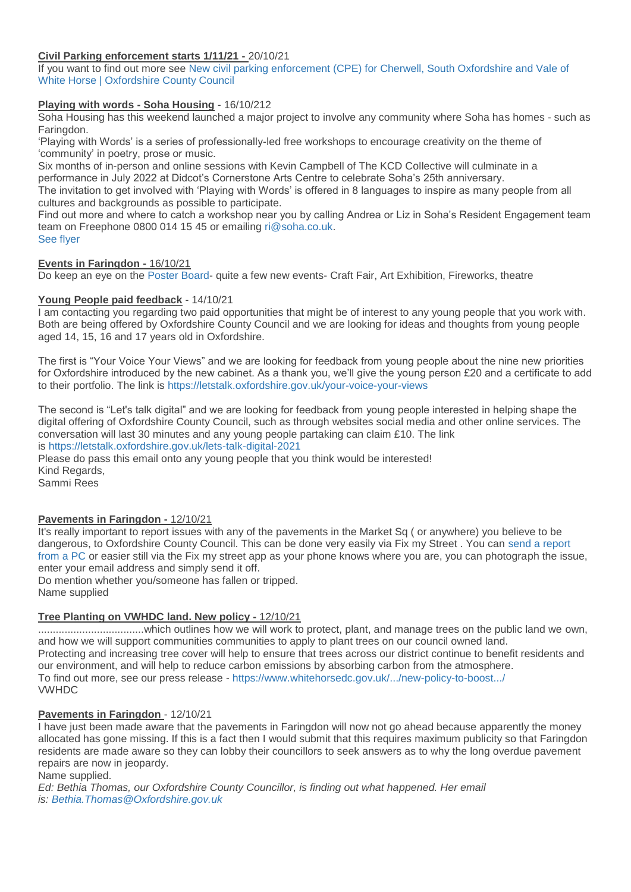# **Civil Parking enforcement starts 1/11/21 -** 20/10/21

If you want to find out more see [New civil parking enforcement \(CPE\) for Cherwell, South Oxfordshire and Vale of](https://www.oxfordshire.gov.uk/residents/roads-and-transport/parking/new-parking-enforcement-areas)  [White Horse | Oxfordshire County Council](https://www.oxfordshire.gov.uk/residents/roads-and-transport/parking/new-parking-enforcement-areas)

# **Playing with words - Soha Housing** - 16/10/212

Soha Housing has this weekend launched a major project to involve any community where Soha has homes - such as Faringdon.

'Playing with Words' is a series of professionally-led free workshops to encourage creativity on the theme of 'community' in poetry, prose or music.

Six months of in-person and online sessions with Kevin Campbell of The KCD Collective will culminate in a performance in July 2022 at Didcot's Cornerstone Arts Centre to celebrate Soha's 25th anniversary.

The invitation to get involved with 'Playing with Words' is offered in 8 languages to inspire as many people from all cultures and backgrounds as possible to participate.

Find out more and where to catch a workshop near you by calling Andrea or Liz in Soha's Resident Engagement team team on Freephone 0800 014 15 45 or emailing [ri@soha.co.uk.](mailto:ri@soha.co.uk)

[See flyer](http://weebly-file/1/4/7/6/14765418/playing_with_words.jpg)

# **Events in Faringdon -** 16/10/21

Do keep an eye on the [Poster Board-](http://weebly-link/267885977289169690) quite a few new events- Craft Fair, Art Exhibition, Fireworks, theatre

# **Young People paid feedback** - 14/10/21

I am contacting you regarding two paid opportunities that might be of interest to any young people that you work with. Both are being offered by Oxfordshire County Council and we are looking for ideas and thoughts from young people aged 14, 15, 16 and 17 years old in Oxfordshire.

The first is "Your Voice Your Views" and we are looking for feedback from young people about the nine new priorities for Oxfordshire introduced by the new cabinet. As a thank you, we'll give the young person £20 and a certificate to add to their portfolio. The link is <https://letstalk.oxfordshire.gov.uk/your-voice-your-views>

The second is "Let's talk digital" and we are looking for feedback from young people interested in helping shape the digital offering of Oxfordshire County Council, such as through websites social media and other online services. The conversation will last 30 minutes and any young people partaking can claim £10. The link

# is <https://letstalk.oxfordshire.gov.uk/lets-talk-digital-2021>

Please do pass this email onto any young people that you think would be interested! Kind Regards,

Sammi Rees

# **Pavements in Faringdon -** 12/10/21

It's really important to report issues with any of the pavements in the Market Sq ( or anywhere) you believe to be dangerous, to Oxfordshire County Council. This can be done very easily via Fix my Street . You can [send a report](https://www.fixmystreet.com/)  [from a PC](https://www.fixmystreet.com/) or easier still via the Fix my street app as your phone knows where you are, you can photograph the issue, enter your email address and simply send it off.

Do mention whether you/someone has fallen or tripped. Name supplied

# **Tree Planting on VWHDC land. New policy -** 12/10/21

....................................which outlines how we will work to protect, plant, and manage trees on the public land we own, and how we will support communities communities to apply to plant trees on our council owned land. Protecting and increasing tree cover will help to ensure that trees across our district continue to benefit residents and our environment, and will help to reduce carbon emissions by absorbing carbon from the atmosphere. To find out more, see our press release - [https://www.whitehorsedc.gov.uk/.../new-policy-to-boost.../](https://www.whitehorsedc.gov.uk/climate-emergency/new-policy-to-boost-the-planting-and-protection-of-trees-on-public-land/?fbclid=IwAR33SR7CQFj9jOuJgVLj-f6rUlAPM3G6YgfbIoFOUrCtpU4vC2Sez5J2u40) VWHDC

### **Pavements in Faringdon** - 12/10/21

I have just been made aware that the pavements in Faringdon will now not go ahead because apparently the money allocated has gone missing. If this is a fact then I would submit that this requires maximum publicity so that Faringdon residents are made aware so they can lobby their councillors to seek answers as to why the long overdue pavement repairs are now in jeopardy.

### Name supplied.

*Ed: Bethia Thomas, our Oxfordshire County Councillor, is finding out what happened. Her email is: [Bethia.Thomas@Oxfordshire.gov.uk](mailto:Bethia%20Thomas%20%3CBethia.Thomas@Oxfordshire.gov.uk%3E)*